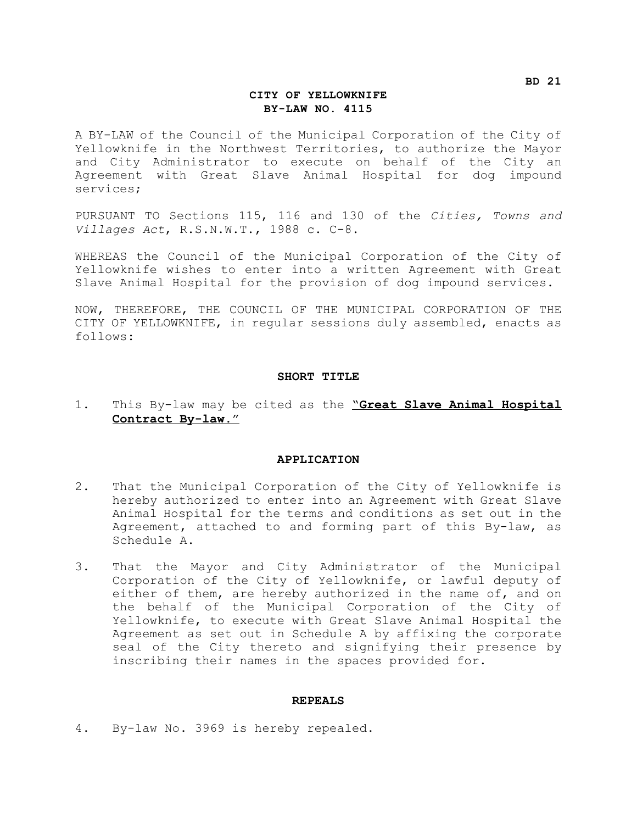#### **CITY OF YELLOWKNIFE BY-LAW NO. 4115**

A BY-LAW of the Council of the Municipal Corporation of the City of Yellowknife in the Northwest Territories, to authorize the Mayor and City Administrator to execute on behalf of the City an Agreement with Great Slave Animal Hospital for dog impound services;

PURSUANT TO Sections 115, 116 and 130 of the *Cities, Towns and Villages Act*, R.S.N.W.T., 1988 c. C-8.

WHEREAS the Council of the Municipal Corporation of the City of Yellowknife wishes to enter into a written Agreement with Great Slave Animal Hospital for the provision of dog impound services.

NOW, THEREFORE, THE COUNCIL OF THE MUNICIPAL CORPORATION OF THE CITY OF YELLOWKNIFE, in regular sessions duly assembled, enacts as follows:

#### **SHORT TITLE**

#### 1. This By-law may be cited as the "**Great Slave Animal Hospital Contract By-law.**"

#### **APPLICATION**

- 2. That the Municipal Corporation of the City of Yellowknife is hereby authorized to enter into an Agreement with Great Slave Animal Hospital for the terms and conditions as set out in the Agreement, attached to and forming part of this By-law, as Schedule A.
- 3. That the Mayor and City Administrator of the Municipal Corporation of the City of Yellowknife, or lawful deputy of either of them, are hereby authorized in the name of, and on the behalf of the Municipal Corporation of the City of Yellowknife, to execute with Great Slave Animal Hospital the Agreement as set out in Schedule A by affixing the corporate seal of the City thereto and signifying their presence by inscribing their names in the spaces provided for.

#### **REPEALS**

4. By-law No. 3969 is hereby repealed.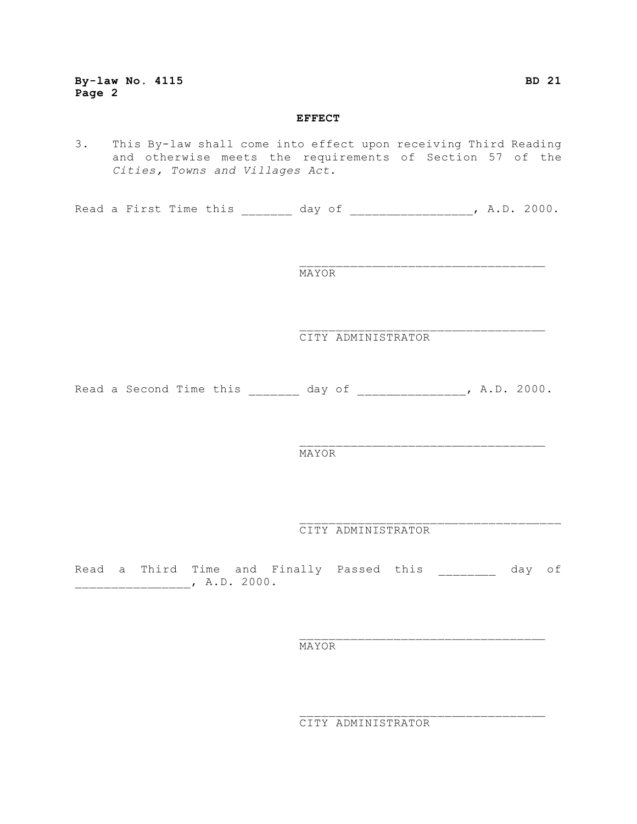#### **EFFECT**

3. This By-law shall come into effect upon receiving Third Reading and otherwise meets the requirements of Section 57 of the *Cities, Towns and Villages Act*.

Read a First Time this \_\_\_\_\_\_\_ day of \_\_\_\_\_\_\_\_\_\_\_\_\_\_\_\_, A.D. 2000.

MAYOR

CITY ADMINISTRATOR

\_\_\_\_\_\_\_\_\_\_\_\_\_\_\_\_\_\_\_\_\_\_\_\_\_\_\_\_\_\_\_\_\_\_

 $\mathcal{L}_\text{max}$ 

Read a Second Time this \_\_\_\_\_\_\_ day of \_\_\_\_\_\_\_\_\_\_\_\_\_\_, A.D. 2000.

MAYOR

CITY ADMINISTRATOR

Read a Third Time and Finally Passed this \_\_\_\_\_\_\_\_ day of \_\_\_\_\_\_\_\_\_\_\_\_\_\_\_\_, A.D. 2000.

MAYOR

CITY ADMINISTRATOR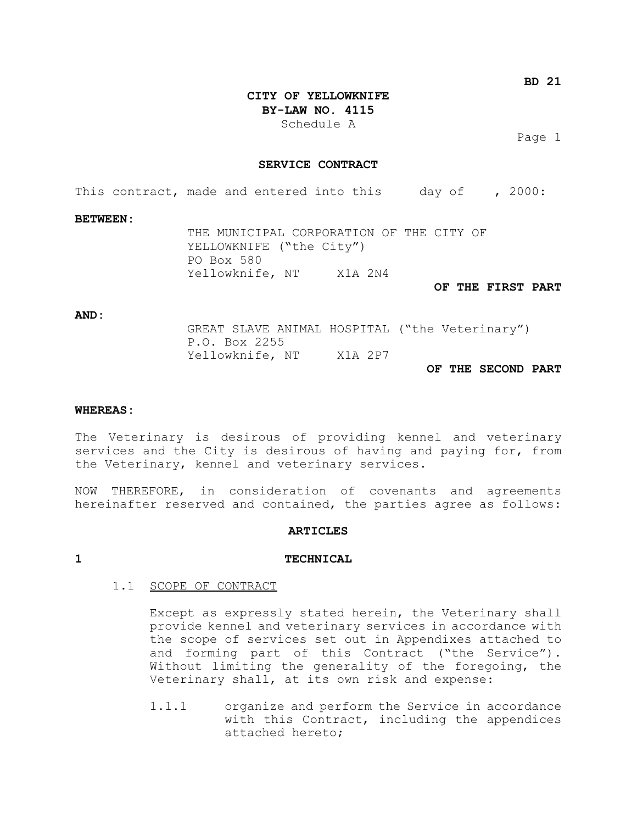**BD 21**

**CITY OF YELLOWKNIFE BY-LAW NO. 4115**

Schedule A

Page 1

#### **SERVICE CONTRACT**

This contract, made and entered into this day of , 2000:

#### **BETWEEN:**

THE MUNICIPAL CORPORATION OF THE CITY OF YELLOWKNIFE ("the City") PO Box 580 Yellowknife, NT X1A 2N4

**OF THE FIRST PART**

#### **AND:**

GREAT SLAVE ANIMAL HOSPITAL ("the Veterinary") P.O. Box 2255 Yellowknife, NT X1A 2P7 **OF THE SECOND PART**

### **WHEREAS:**

The Veterinary is desirous of providing kennel and veterinary services and the City is desirous of having and paying for, from the Veterinary, kennel and veterinary services.

NOW THEREFORE, in consideration of covenants and agreements hereinafter reserved and contained, the parties agree as follows:

#### **ARTICLES**

#### **1 TECHNICAL**

#### 1.1 SCOPE OF CONTRACT

Except as expressly stated herein, the Veterinary shall provide kennel and veterinary services in accordance with the scope of services set out in Appendixes attached to and forming part of this Contract ("the Service"). Without limiting the generality of the foregoing, the Veterinary shall, at its own risk and expense:

1.1.1 organize and perform the Service in accordance with this Contract, including the appendices attached hereto;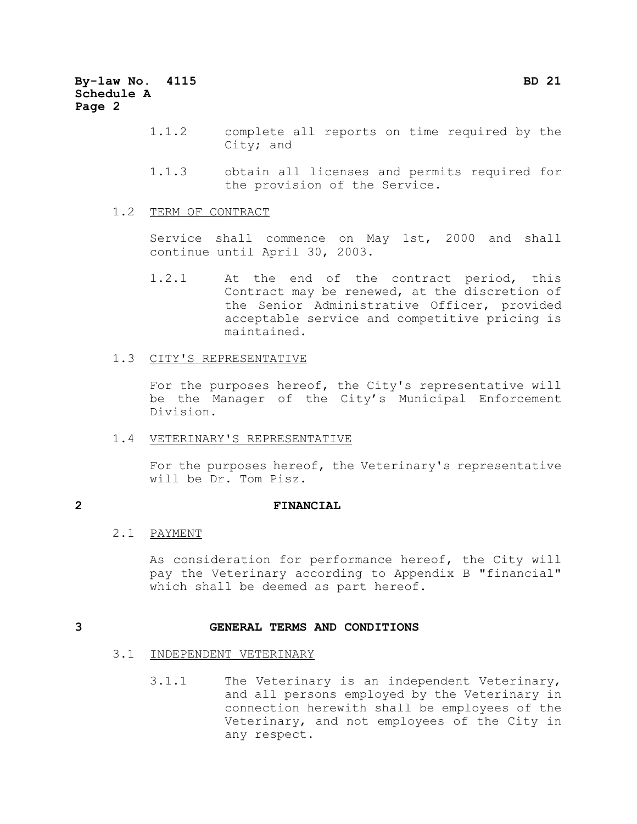- 1.1.2 complete all reports on time required by the City; and
- 1.1.3 obtain all licenses and permits required for the provision of the Service.

#### 1.2 TERM OF CONTRACT

Service shall commence on May 1st, 2000 and shall continue until April 30, 2003.

1.2.1 At the end of the contract period, this Contract may be renewed, at the discretion of the Senior Administrative Officer, provided acceptable service and competitive pricing is maintained.

#### 1.3 CITY'S REPRESENTATIVE

For the purposes hereof, the City's representative will be the Manager of the City's Municipal Enforcement Division.

#### 1.4 VETERINARY'S REPRESENTATIVE

For the purposes hereof, the Veterinary's representative will be Dr. Tom Pisz.

### **2 FINANCIAL**

#### 2.1 PAYMENT

As consideration for performance hereof, the City will pay the Veterinary according to Appendix B "financial" which shall be deemed as part hereof.

#### **3 GENERAL TERMS AND CONDITIONS**

#### 3.1 INDEPENDENT VETERINARY

3.1.1 The Veterinary is an independent Veterinary, and all persons employed by the Veterinary in connection herewith shall be employees of the Veterinary, and not employees of the City in any respect.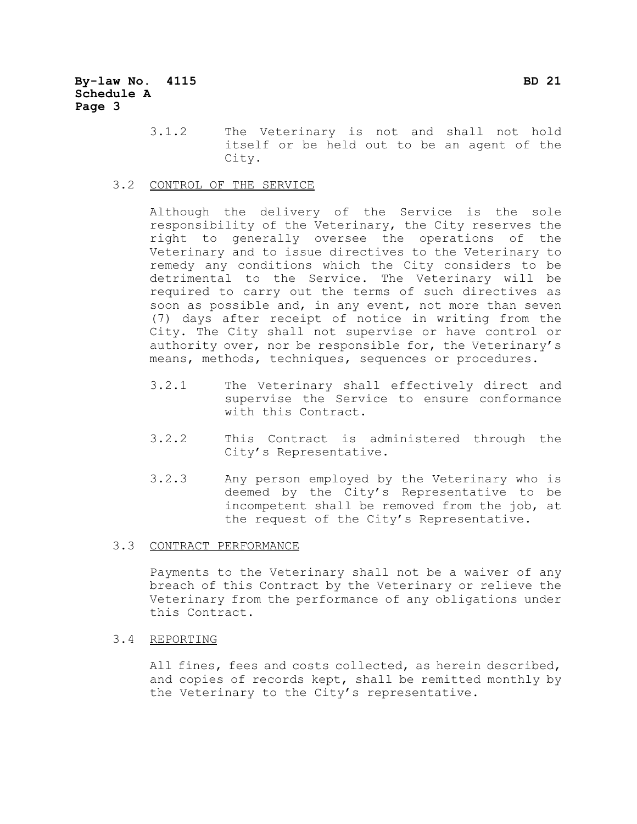3.1.2 The Veterinary is not and shall not hold itself or be held out to be an agent of the City.

#### 3.2 CONTROL OF THE SERVICE

Although the delivery of the Service is the sole responsibility of the Veterinary, the City reserves the right to generally oversee the operations of the Veterinary and to issue directives to the Veterinary to remedy any conditions which the City considers to be detrimental to the Service. The Veterinary will be required to carry out the terms of such directives as soon as possible and, in any event, not more than seven (7) days after receipt of notice in writing from the City. The City shall not supervise or have control or authority over, nor be responsible for, the Veterinary's means, methods, techniques, sequences or procedures.

- 3.2.1 The Veterinary shall effectively direct and supervise the Service to ensure conformance with this Contract.
- 3.2.2 This Contract is administered through the City's Representative.
- 3.2.3 Any person employed by the Veterinary who is deemed by the City's Representative to be incompetent shall be removed from the job, at the request of the City's Representative.

#### 3.3 CONTRACT PERFORMANCE

Payments to the Veterinary shall not be a waiver of any breach of this Contract by the Veterinary or relieve the Veterinary from the performance of any obligations under this Contract.

#### 3.4 REPORTING

All fines, fees and costs collected, as herein described, and copies of records kept, shall be remitted monthly by the Veterinary to the City's representative.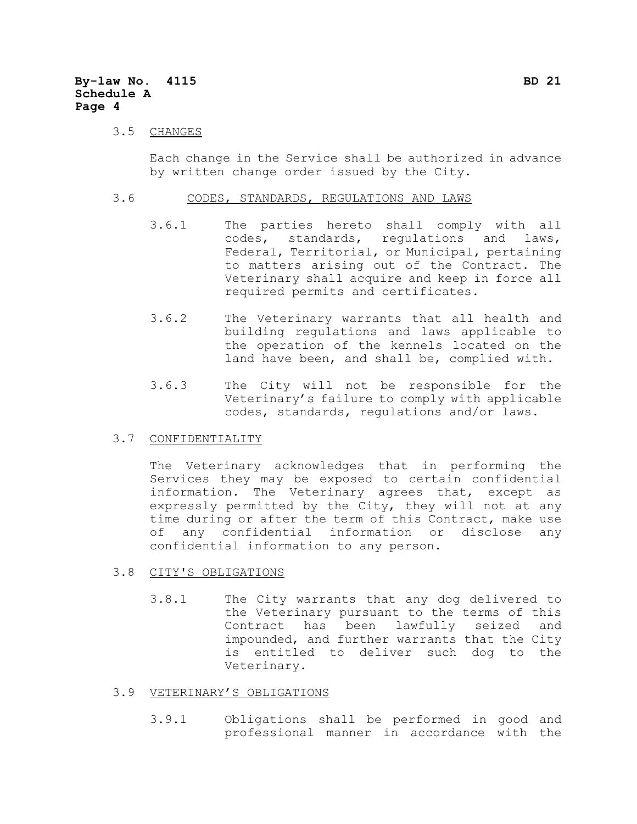#### 3.5 CHANGES

Each change in the Service shall be authorized in advance by written change order issued by the City.

#### 3.6 CODES, STANDARDS, REGULATIONS AND LAWS

- 3.6.1 The parties hereto shall comply with all codes, standards, regulations and laws, Federal, Territorial, or Municipal, pertaining to matters arising out of the Contract. The Veterinary shall acquire and keep in force all required permits and certificates.
- 3.6.2 The Veterinary warrants that all health and building regulations and laws applicable to the operation of the kennels located on the land have been, and shall be, complied with.
- 3.6.3 The City will not be responsible for the Veterinary's failure to comply with applicable codes, standards, regulations and/or laws.

#### 3.7 CONFIDENTIALITY

The Veterinary acknowledges that in performing the Services they may be exposed to certain confidential information. The Veterinary agrees that, except as expressly permitted by the City, they will not at any time during or after the term of this Contract, make use of any confidential information or disclose any confidential information to any person.

#### 3.8 CITY'S OBLIGATIONS

3.8.1 The City warrants that any dog delivered to the Veterinary pursuant to the terms of this Contract has been lawfully seized and impounded, and further warrants that the City is entitled to deliver such dog to the Veterinary.

#### 3.9 VETERINARY'S OBLIGATIONS

3.9.1 Obligations shall be performed in good and professional manner in accordance with the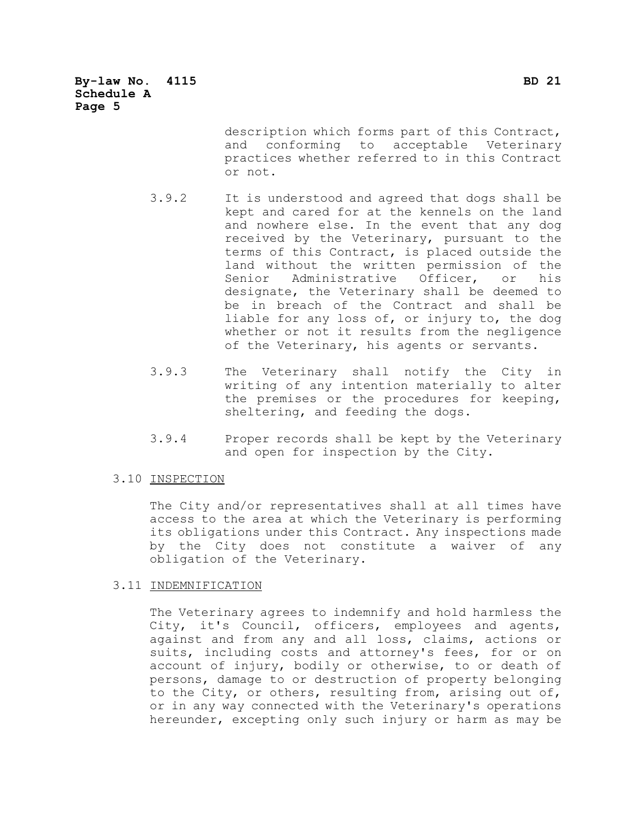**By-law No. 4115 BD 21 Schedule A Page 5**

> description which forms part of this Contract, and conforming to acceptable Veterinary practices whether referred to in this Contract or not.

- 3.9.2 It is understood and agreed that dogs shall be kept and cared for at the kennels on the land and nowhere else. In the event that any dog received by the Veterinary, pursuant to the terms of this Contract, is placed outside the land without the written permission of the Senior Administrative Officer, or his designate, the Veterinary shall be deemed to be in breach of the Contract and shall be liable for any loss of, or injury to, the dog whether or not it results from the negligence of the Veterinary, his agents or servants.
- 3.9.3 The Veterinary shall notify the City in writing of any intention materially to alter the premises or the procedures for keeping, sheltering, and feeding the dogs.
- 3.9.4 Proper records shall be kept by the Veterinary and open for inspection by the City.

#### 3.10 INSPECTION

The City and/or representatives shall at all times have access to the area at which the Veterinary is performing its obligations under this Contract. Any inspections made by the City does not constitute a waiver of any obligation of the Veterinary.

#### 3.11 INDEMNIFICATION

The Veterinary agrees to indemnify and hold harmless the City, it's Council, officers, employees and agents, against and from any and all loss, claims, actions or suits, including costs and attorney's fees, for or on account of injury, bodily or otherwise, to or death of persons, damage to or destruction of property belonging to the City, or others, resulting from, arising out of, or in any way connected with the Veterinary's operations hereunder, excepting only such injury or harm as may be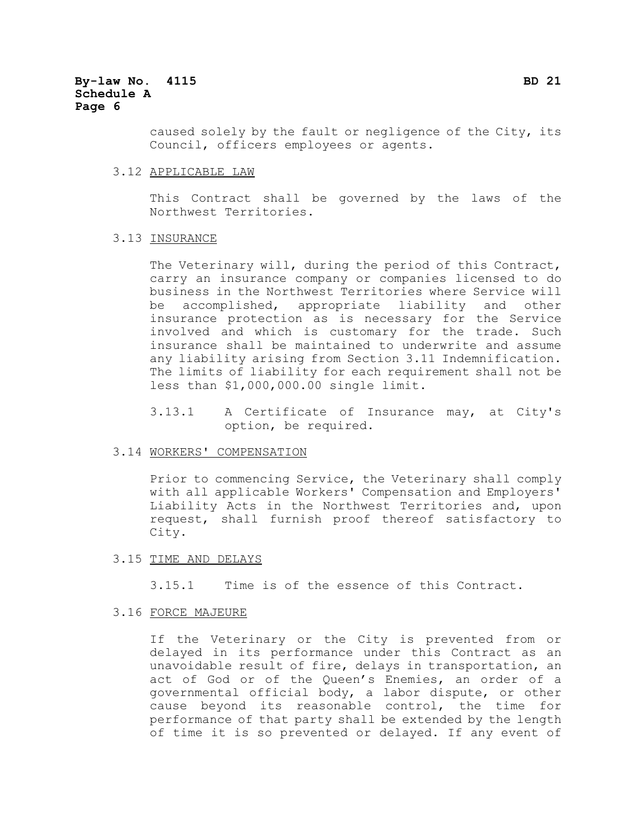caused solely by the fault or negligence of the City, its Council, officers employees or agents.

#### 3.12 APPLICABLE LAW

This Contract shall be governed by the laws of the Northwest Territories.

#### 3.13 INSURANCE

The Veterinary will, during the period of this Contract, carry an insurance company or companies licensed to do business in the Northwest Territories where Service will be accomplished, appropriate liability and other insurance protection as is necessary for the Service involved and which is customary for the trade. Such insurance shall be maintained to underwrite and assume any liability arising from Section 3.11 Indemnification. The limits of liability for each requirement shall not be less than \$1,000,000.00 single limit.

3.13.1 A Certificate of Insurance may, at City's option, be required.

#### 3.14 WORKERS' COMPENSATION

Prior to commencing Service, the Veterinary shall comply with all applicable Workers' Compensation and Employers' Liability Acts in the Northwest Territories and, upon request, shall furnish proof thereof satisfactory to City.

#### 3.15 TIME AND DELAYS

3.15.1 Time is of the essence of this Contract.

#### 3.16 FORCE MAJEURE

If the Veterinary or the City is prevented from or delayed in its performance under this Contract as an unavoidable result of fire, delays in transportation, an act of God or of the Queen's Enemies, an order of a governmental official body, a labor dispute, or other cause beyond its reasonable control, the time for performance of that party shall be extended by the length of time it is so prevented or delayed. If any event of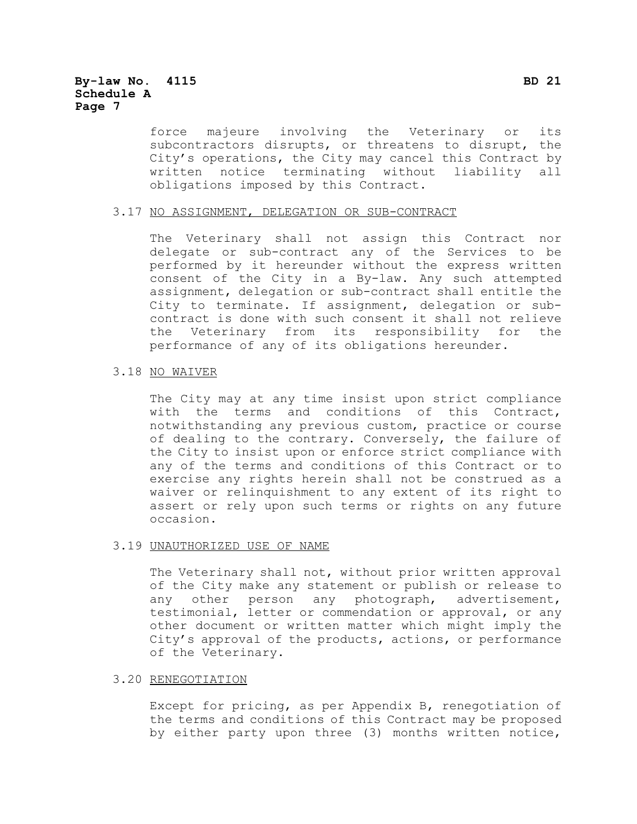force majeure involving the Veterinary or its subcontractors disrupts, or threatens to disrupt, the City's operations, the City may cancel this Contract by written notice terminating without liability all obligations imposed by this Contract.

#### 3.17 NO ASSIGNMENT, DELEGATION OR SUB-CONTRACT

The Veterinary shall not assign this Contract nor delegate or sub-contract any of the Services to be performed by it hereunder without the express written consent of the City in a By-law. Any such attempted assignment, delegation or sub-contract shall entitle the City to terminate. If assignment, delegation or subcontract is done with such consent it shall not relieve the Veterinary from its responsibility for the performance of any of its obligations hereunder.

#### 3.18 NO WAIVER

The City may at any time insist upon strict compliance with the terms and conditions of this Contract, notwithstanding any previous custom, practice or course of dealing to the contrary. Conversely, the failure of the City to insist upon or enforce strict compliance with any of the terms and conditions of this Contract or to exercise any rights herein shall not be construed as a waiver or relinquishment to any extent of its right to assert or rely upon such terms or rights on any future occasion.

#### 3.19 UNAUTHORIZED USE OF NAME

The Veterinary shall not, without prior written approval of the City make any statement or publish or release to any other person any photograph, advertisement, testimonial, letter or commendation or approval, or any other document or written matter which might imply the City's approval of the products, actions, or performance of the Veterinary.

#### 3.20 RENEGOTIATION

Except for pricing, as per Appendix B, renegotiation of the terms and conditions of this Contract may be proposed by either party upon three (3) months written notice,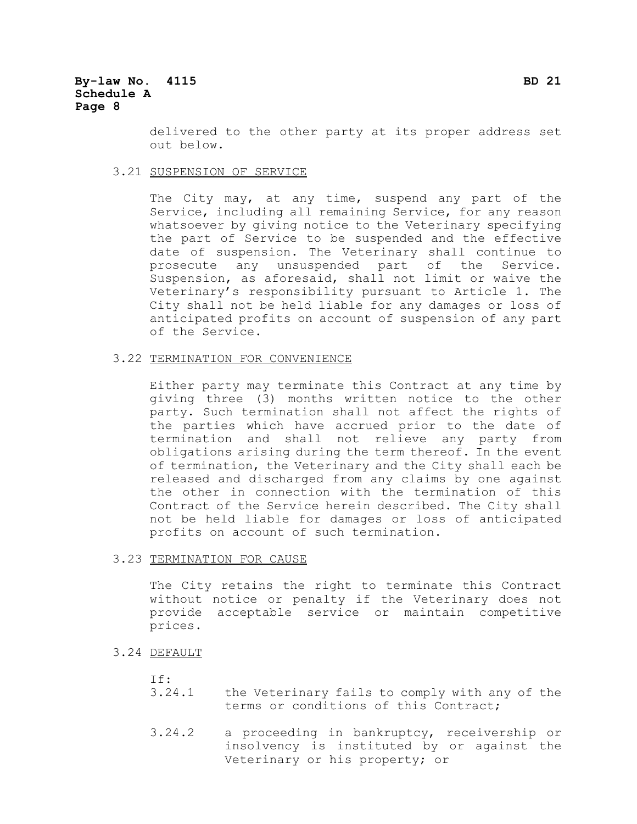delivered to the other party at its proper address set out below.

#### 3.21 SUSPENSION OF SERVICE

The City may, at any time, suspend any part of the Service, including all remaining Service, for any reason whatsoever by giving notice to the Veterinary specifying the part of Service to be suspended and the effective date of suspension. The Veterinary shall continue to prosecute any unsuspended part of the Service. Suspension, as aforesaid, shall not limit or waive the Veterinary's responsibility pursuant to Article 1. The City shall not be held liable for any damages or loss of anticipated profits on account of suspension of any part of the Service.

#### 3.22 TERMINATION FOR CONVENIENCE

Either party may terminate this Contract at any time by giving three (3) months written notice to the other party. Such termination shall not affect the rights of the parties which have accrued prior to the date of termination and shall not relieve any party from obligations arising during the term thereof. In the event of termination, the Veterinary and the City shall each be released and discharged from any claims by one against the other in connection with the termination of this Contract of the Service herein described. The City shall not be held liable for damages or loss of anticipated profits on account of such termination.

#### 3.23 TERMINATION FOR CAUSE

The City retains the right to terminate this Contract without notice or penalty if the Veterinary does not provide acceptable service or maintain competitive prices.

#### 3.24 DEFAULT

- If:
- 3.24.1 the Veterinary fails to comply with any of the terms or conditions of this Contract;
- 3.24.2 a proceeding in bankruptcy, receivership or insolvency is instituted by or against the Veterinary or his property; or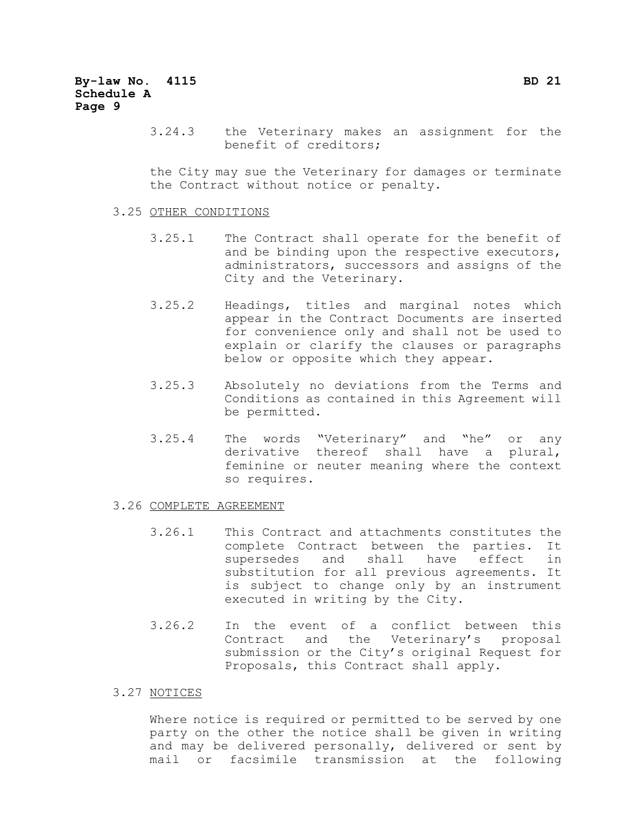3.24.3 the Veterinary makes an assignment for the benefit of creditors;

the City may sue the Veterinary for damages or terminate the Contract without notice or penalty.

#### 3.25 OTHER CONDITIONS

- 3.25.1 The Contract shall operate for the benefit of and be binding upon the respective executors, administrators, successors and assigns of the City and the Veterinary.
- 3.25.2 Headings, titles and marginal notes which appear in the Contract Documents are inserted for convenience only and shall not be used to explain or clarify the clauses or paragraphs below or opposite which they appear.
- 3.25.3 Absolutely no deviations from the Terms and Conditions as contained in this Agreement will be permitted.
- 3.25.4 The words "Veterinary" and "he" or any derivative thereof shall have a plural, feminine or neuter meaning where the context so requires.

#### 3.26 COMPLETE AGREEMENT

- 3.26.1 This Contract and attachments constitutes the complete Contract between the parties. It supersedes and shall have effect in substitution for all previous agreements. It is subject to change only by an instrument executed in writing by the City.
- 3.26.2 In the event of a conflict between this Contract and the Veterinary's proposal submission or the City's original Request for Proposals, this Contract shall apply.

#### 3.27 NOTICES

Where notice is required or permitted to be served by one party on the other the notice shall be given in writing and may be delivered personally, delivered or sent by mail or facsimile transmission at the following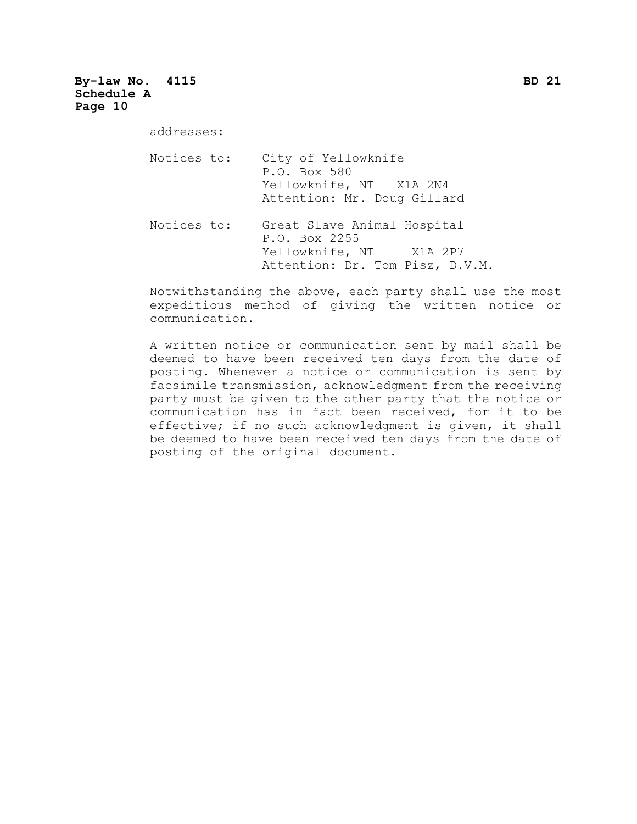#### **By-law No. 4115 BD 21 Schedule A Page 10**

addresses:

| Notices to: | City of Yellowknife<br>P.O. Box 580<br>Yellowknife, NT X1A 2N4<br>Attention: Mr. Doug Gillard              |
|-------------|------------------------------------------------------------------------------------------------------------|
| Notices to: | Great Slave Animal Hospital<br>P.O. Box 2255<br>Yellowknife, NT X1A 2P7<br>Attention: Dr. Tom Pisz, D.V.M. |

Notwithstanding the above, each party shall use the most expeditious method of giving the written notice or communication.

A written notice or communication sent by mail shall be deemed to have been received ten days from the date of posting. Whenever a notice or communication is sent by facsimile transmission, acknowledgment from the receiving party must be given to the other party that the notice or communication has in fact been received, for it to be effective; if no such acknowledgment is given, it shall be deemed to have been received ten days from the date of posting of the original document.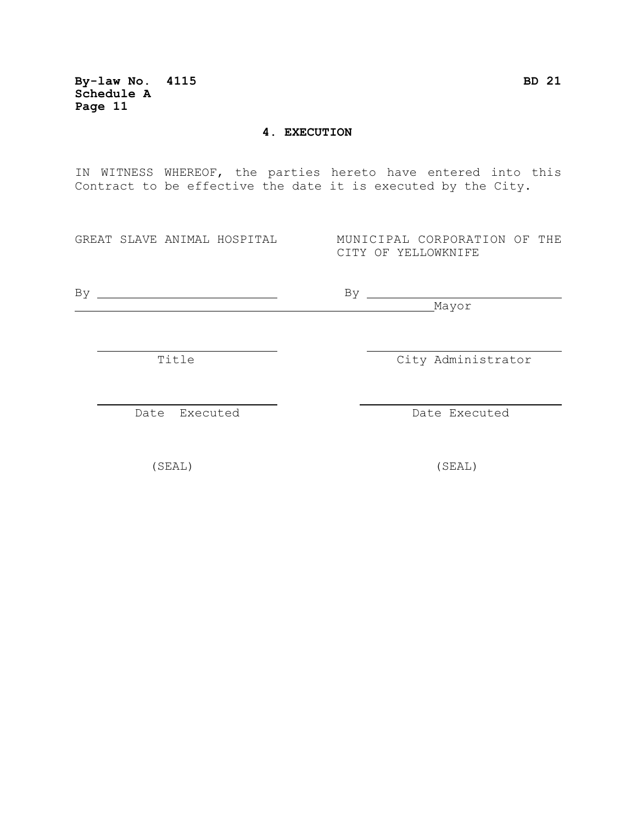**By-law No. 4115 BD 21 Schedule A Page 11**

#### **4. EXECUTION**

IN WITNESS WHEREOF, the parties hereto have entered into this Contract to be effective the date it is executed by the City.

GREAT SLAVE ANIMAL HOSPITAL MUNICIPAL CORPORATION OF THE CITY OF YELLOWKNIFE

By By

Mayor

Title City Administrator

Date Executed **Date Executed** 

(SEAL) (SEAL)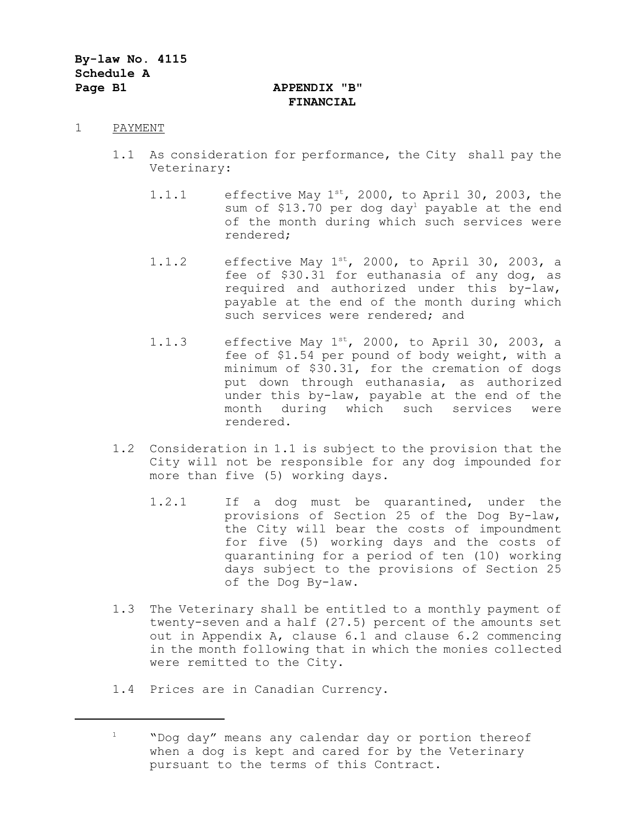# **FINANCIAL**

#### 1 PAYMENT

- 1.1 As consideration for performance, the City shall pay the Veterinary:
	- 1.1.1 effective May  $1^{st}$ , 2000, to April 30, 2003, the sum of \$13.70 per dog day<sup>1</sup> payable at the end of the month during which such services were rendered;
	- 1.1.2 effective May  $1^{st}$ , 2000, to April 30, 2003, a fee of \$30.31 for euthanasia of any dog, as required and authorized under this by-law, payable at the end of the month during which such services were rendered; and
	- 1.1.3 effective May  $1^{st}$ , 2000, to April 30, 2003, a fee of \$1.54 per pound of body weight, with a minimum of \$30.31, for the cremation of dogs put down through euthanasia, as authorized under this by-law, payable at the end of the month during which such services were rendered.
- 1.2 Consideration in 1.1 is subject to the provision that the City will not be responsible for any dog impounded for more than five (5) working days.
	- 1.2.1 If a dog must be quarantined, under the provisions of Section 25 of the Dog By-law, the City will bear the costs of impoundment for five (5) working days and the costs of quarantining for a period of ten (10) working days subject to the provisions of Section 25 of the Dog By-law.
- 1.3 The Veterinary shall be entitled to a monthly payment of twenty-seven and a half (27.5) percent of the amounts set out in Appendix A, clause 6.1 and clause 6.2 commencing in the month following that in which the monies collected were remitted to the City.
- 1.4 Prices are in Canadian Currency.

<sup>1</sup> "Dog day" means any calendar day or portion thereof when a dog is kept and cared for by the Veterinary pursuant to the terms of this Contract.